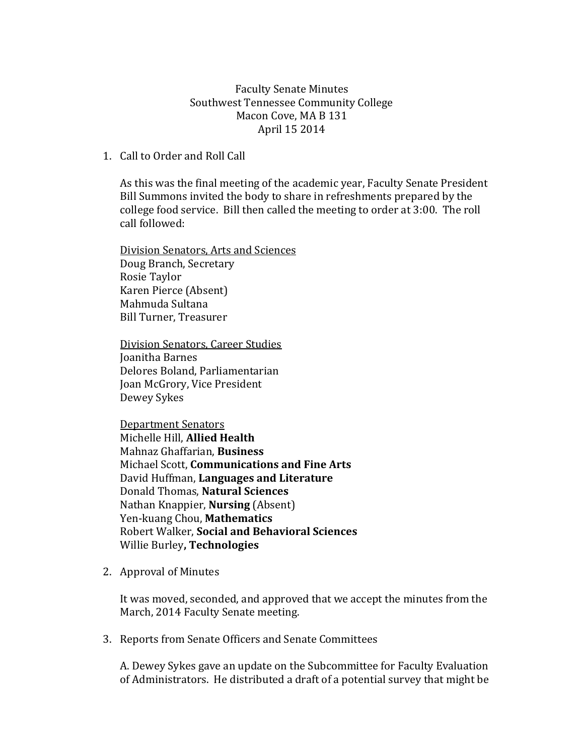Faculty Senate Minutes Southwest Tennessee Community College Macon Cove, MA B 131 April 15 2014

## 1. Call to Order and Roll Call

As this was the final meeting of the academic year, Faculty Senate President Bill Summons invited the body to share in refreshments prepared by the college food service. Bill then called the meeting to order at 3:00. The roll call followed:

Division Senators, Arts and Sciences Doug Branch, Secretary Rosie Taylor Karen Pierce (Absent) Mahmuda Sultana Bill Turner, Treasurer

Division Senators, Career Studies Joanitha Barnes Delores Boland, Parliamentarian Joan McGrory, Vice President Dewey Sykes

Department Senators Michelle Hill, **Allied Health** Mahnaz Ghaffarian, **Business** Michael Scott, **Communications and Fine Arts**  David Huffman, **Languages and Literature** Donald Thomas, **Natural Sciences** Nathan Knappier, **Nursing** (Absent) Yen-kuang Chou, **Mathematics** Robert Walker, **Social and Behavioral Sciences** Willie Burley**, Technologies**

2. Approval of Minutes

It was moved, seconded, and approved that we accept the minutes from the March, 2014 Faculty Senate meeting.

3. Reports from Senate Officers and Senate Committees

A. Dewey Sykes gave an update on the Subcommittee for Faculty Evaluation of Administrators. He distributed a draft of a potential survey that might be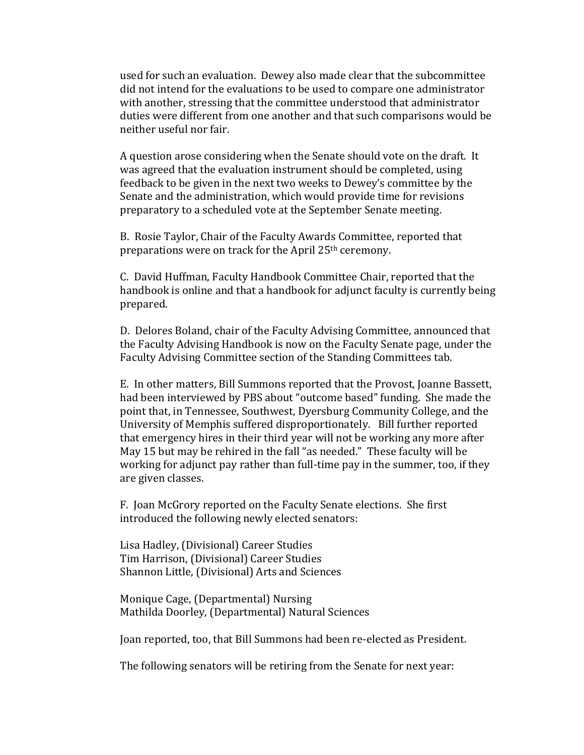used for such an evaluation. Dewey also made clear that the subcommittee did not intend for the evaluations to be used to compare one administrator with another, stressing that the committee understood that administrator duties were different from one another and that such comparisons would be neither useful nor fair.

A question arose considering when the Senate should vote on the draft. It was agreed that the evaluation instrument should be completed, using feedback to be given in the next two weeks to Dewey's committee by the Senate and the administration, which would provide time for revisions preparatory to a scheduled vote at the September Senate meeting.

B. Rosie Taylor, Chair of the Faculty Awards Committee, reported that preparations were on track for the April 25th ceremony.

C. David Huffman, Faculty Handbook Committee Chair, reported that the handbook is online and that a handbook for adjunct faculty is currently being prepared.

D. Delores Boland, chair of the Faculty Advising Committee, announced that the Faculty Advising Handbook is now on the Faculty Senate page, under the Faculty Advising Committee section of the Standing Committees tab.

E. In other matters, Bill Summons reported that the Provost, Joanne Bassett, had been interviewed by PBS about "outcome based" funding. She made the point that, in Tennessee, Southwest, Dyersburg Community College, and the University of Memphis suffered disproportionately. Bill further reported that emergency hires in their third year will not be working any more after May 15 but may be rehired in the fall "as needed." These faculty will be working for adjunct pay rather than full-time pay in the summer, too, if they are given classes.

F. Joan McGrory reported on the Faculty Senate elections. She first introduced the following newly elected senators:

Lisa Hadley, (Divisional) Career Studies Tim Harrison, (Divisional) Career Studies Shannon Little, (Divisional) Arts and Sciences

Monique Cage, (Departmental) Nursing Mathilda Doorley, (Departmental) Natural Sciences

Joan reported, too, that Bill Summons had been re-elected as President.

The following senators will be retiring from the Senate for next year: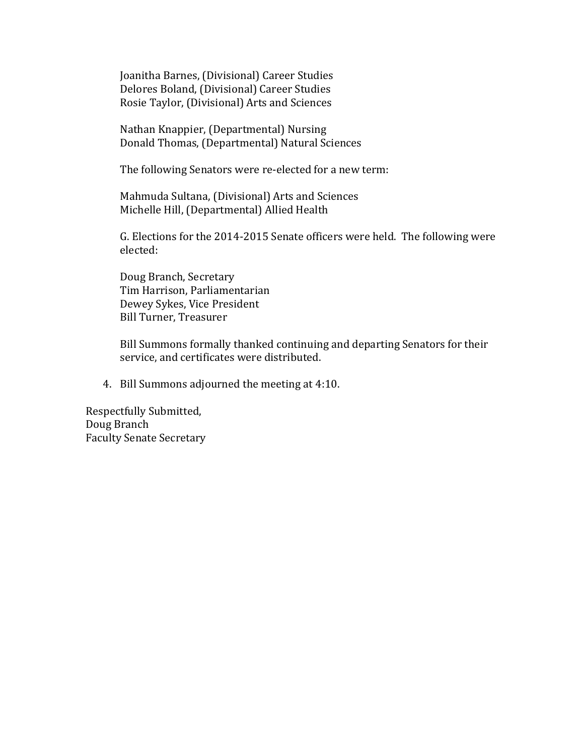Joanitha Barnes, (Divisional) Career Studies Delores Boland, (Divisional) Career Studies Rosie Taylor, (Divisional) Arts and Sciences

Nathan Knappier, (Departmental) Nursing Donald Thomas, (Departmental) Natural Sciences

The following Senators were re-elected for a new term:

Mahmuda Sultana, (Divisional) Arts and Sciences Michelle Hill, (Departmental) Allied Health

G. Elections for the 2014-2015 Senate officers were held. The following were elected:

Doug Branch, Secretary Tim Harrison, Parliamentarian Dewey Sykes, Vice President Bill Turner, Treasurer

Bill Summons formally thanked continuing and departing Senators for their service, and certificates were distributed.

4. Bill Summons adjourned the meeting at 4:10.

Respectfully Submitted, Doug Branch Faculty Senate Secretary